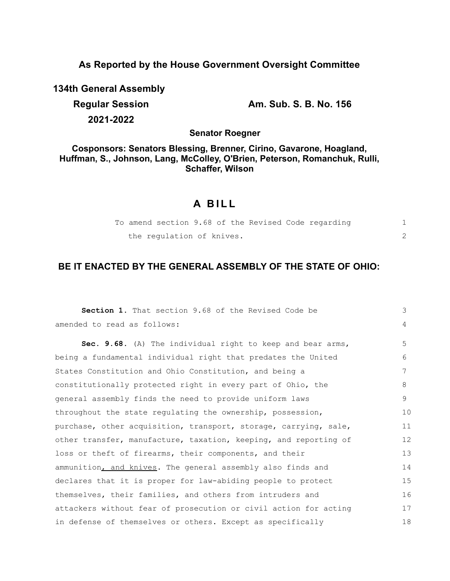### **As Reported by the House Government Oversight Committee**

**134th General Assembly**

**2021-2022**

**Regular Session Am. Sub. S. B. No. 156**

**Senator Roegner**

**Cosponsors: Senators Blessing, Brenner, Cirino, Gavarone, Hoagland, Huffman, S., Johnson, Lang, McColley, O'Brien, Peterson, Romanchuk, Rulli, Schaffer, Wilson**

# **A B I L L**

|  |                           |  |  | To amend section 9.68 of the Revised Code regarding |  |
|--|---------------------------|--|--|-----------------------------------------------------|--|
|  | the requlation of knives. |  |  |                                                     |  |

# **BE IT ENACTED BY THE GENERAL ASSEMBLY OF THE STATE OF OHIO:**

| Section 1. That section 9.68 of the Revised Code be              | 3              |
|------------------------------------------------------------------|----------------|
| amended to read as follows:                                      | $\overline{4}$ |
| Sec. 9.68. (A) The individual right to keep and bear arms,       | 5              |
| being a fundamental individual right that predates the United    | 6              |
| States Constitution and Ohio Constitution, and being a           | 7              |
| constitutionally protected right in every part of Ohio, the      | 8              |
| general assembly finds the need to provide uniform laws          | 9              |
| throughout the state regulating the ownership, possession,       | 10             |
| purchase, other acquisition, transport, storage, carrying, sale, | 11             |
| other transfer, manufacture, taxation, keeping, and reporting of | 12             |
| loss or theft of firearms, their components, and their           | 13             |
| ammunition, and knives. The general assembly also finds and      | 14             |
| declares that it is proper for law-abiding people to protect     | 15             |
| themselves, their families, and others from intruders and        | 16             |
| attackers without fear of prosecution or civil action for acting | 17             |
| in defense of themselves or others. Except as specifically       | 18             |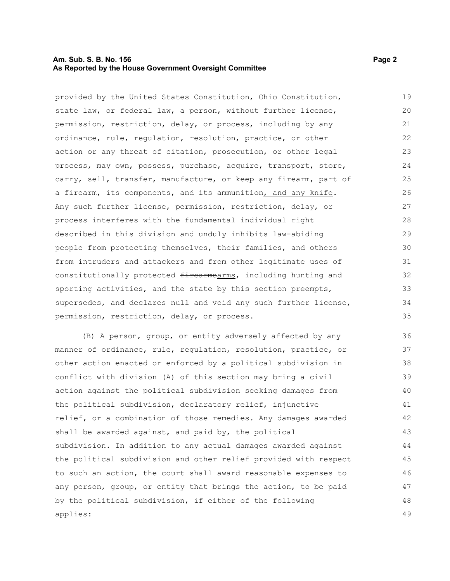### **Am. Sub. S. B. No. 156 Page 2 Page 2 Page 2 Page 2 Page 2 Page 2 Page 2 As Reported by the House Government Oversight Committee**

provided by the United States Constitution, Ohio Constitution, state law, or federal law, a person, without further license, permission, restriction, delay, or process, including by any ordinance, rule, regulation, resolution, practice, or other action or any threat of citation, prosecution, or other legal process, may own, possess, purchase, acquire, transport, store, carry, sell, transfer, manufacture, or keep any firearm, part of a firearm, its components, and its ammunition, and any knife. Any such further license, permission, restriction, delay, or process interferes with the fundamental individual right described in this division and unduly inhibits law-abiding people from protecting themselves, their families, and others from intruders and attackers and from other legitimate uses of constitutionally protected firearmsarms, including hunting and sporting activities, and the state by this section preempts, supersedes, and declares null and void any such further license, permission, restriction, delay, or process. 19 20 21 22 23 24 25 26 27 28 29 30 31 32 33 34

(B) A person, group, or entity adversely affected by any manner of ordinance, rule, regulation, resolution, practice, or other action enacted or enforced by a political subdivision in conflict with division (A) of this section may bring a civil action against the political subdivision seeking damages from the political subdivision, declaratory relief, injunctive relief, or a combination of those remedies. Any damages awarded shall be awarded against, and paid by, the political subdivision. In addition to any actual damages awarded against the political subdivision and other relief provided with respect to such an action, the court shall award reasonable expenses to any person, group, or entity that brings the action, to be paid by the political subdivision, if either of the following applies: 36 37 38 39 40 41 42 43 44 45 46 47 48 49

35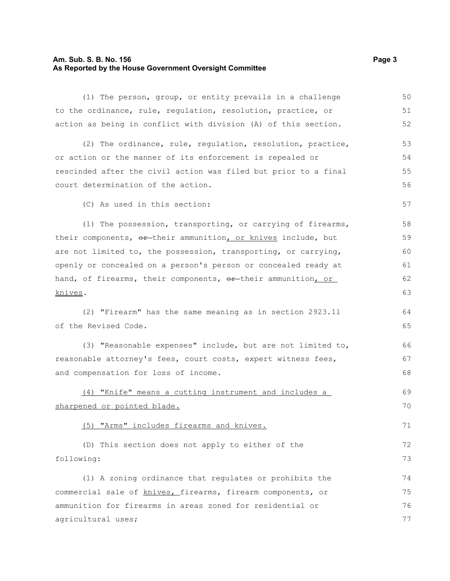### **Am. Sub. S. B. No. 156 Page 3 As Reported by the House Government Oversight Committee**

(1) The person, group, or entity prevails in a challenge to the ordinance, rule, regulation, resolution, practice, or action as being in conflict with division (A) of this section. (2) The ordinance, rule, regulation, resolution, practice, or action or the manner of its enforcement is repealed or rescinded after the civil action was filed but prior to a final court determination of the action. (C) As used in this section: (1) The possession, transporting, or carrying of firearms, their components, or their ammunition, or knives include, but are not limited to, the possession, transporting, or carrying, openly or concealed on a person's person or concealed ready at hand, of firearms, their components, or their ammunition, or knives. (2) "Firearm" has the same meaning as in section 2923.11 of the Revised Code. (3) "Reasonable expenses" include, but are not limited to, reasonable attorney's fees, court costs, expert witness fees, and compensation for loss of income. (4) "Knife" means a cutting instrument and includes a sharpened or pointed blade. (5) "Arms" includes firearms and knives. (D) This section does not apply to either of the following: (1) A zoning ordinance that regulates or prohibits the commercial sale of knives, firearms, firearm components, or ammunition for firearms in areas zoned for residential or agricultural uses; 50 51 52 53 54 55 56 57 58 59 60 61 62 63 64 65 66 67 68 69 70 71 72 73 74 75 76 77